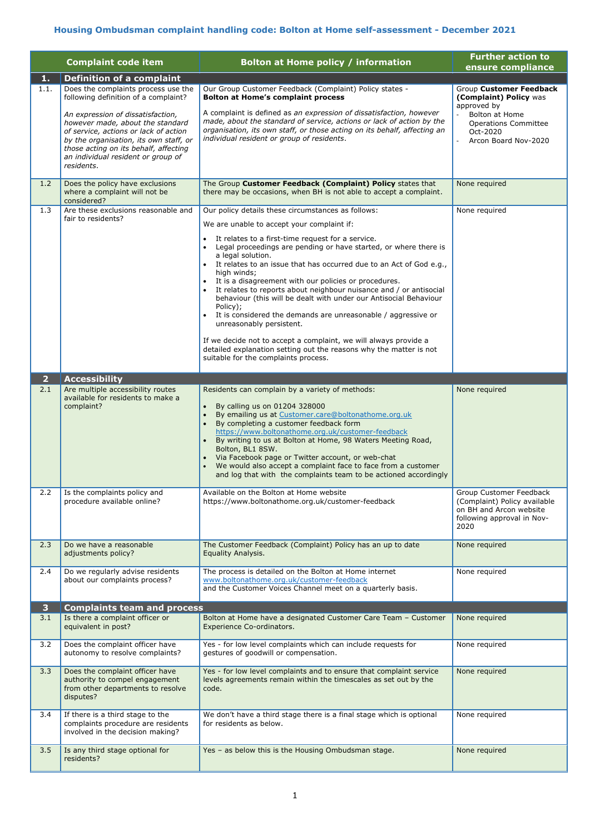## **Housing Ombudsman complaint handling code: Bolton at Home self-assessment - December 2021**

1

|                       | <b>Complaint code item</b>                                                                                                                                                                                                                                                                                                           | <b>Bolton at Home policy / information</b>                                                                                                                                                                                                                                                                                                                                                                                                                                                                                                                                                                                                                                                                                                                                    | <b>Further action to</b><br>ensure compliance                                                                                                                |
|-----------------------|--------------------------------------------------------------------------------------------------------------------------------------------------------------------------------------------------------------------------------------------------------------------------------------------------------------------------------------|-------------------------------------------------------------------------------------------------------------------------------------------------------------------------------------------------------------------------------------------------------------------------------------------------------------------------------------------------------------------------------------------------------------------------------------------------------------------------------------------------------------------------------------------------------------------------------------------------------------------------------------------------------------------------------------------------------------------------------------------------------------------------------|--------------------------------------------------------------------------------------------------------------------------------------------------------------|
| 1.                    | <b>Definition of a complaint</b>                                                                                                                                                                                                                                                                                                     |                                                                                                                                                                                                                                                                                                                                                                                                                                                                                                                                                                                                                                                                                                                                                                               |                                                                                                                                                              |
| 1.1.                  | Does the complaints process use the<br>following definition of a complaint?<br>An expression of dissatisfaction,<br>however made, about the standard<br>of service, actions or lack of action<br>by the organisation, its own staff, or<br>those acting on its behalf, affecting<br>an individual resident or group of<br>residents. | Our Group Customer Feedback (Complaint) Policy states -<br><b>Bolton at Home's complaint process</b><br>A complaint is defined as an expression of dissatisfaction, however<br>made, about the standard of service, actions or lack of action by the<br>organisation, its own staff, or those acting on its behalf, affecting an<br>individual resident or group of residents.                                                                                                                                                                                                                                                                                                                                                                                                | Group Customer Feedback<br>(Complaint) Policy was<br>approved by<br><b>Bolton at Home</b><br><b>Operations Committee</b><br>Oct-2020<br>Arcon Board Nov-2020 |
| 1.2                   | Does the policy have exclusions<br>where a complaint will not be<br>considered?                                                                                                                                                                                                                                                      | The Group Customer Feedback (Complaint) Policy states that<br>there may be occasions, when BH is not able to accept a complaint.                                                                                                                                                                                                                                                                                                                                                                                                                                                                                                                                                                                                                                              | None required                                                                                                                                                |
| 1.3                   | Are these exclusions reasonable and                                                                                                                                                                                                                                                                                                  | Our policy details these circumstances as follows:                                                                                                                                                                                                                                                                                                                                                                                                                                                                                                                                                                                                                                                                                                                            | None required                                                                                                                                                |
|                       | fair to residents?                                                                                                                                                                                                                                                                                                                   | We are unable to accept your complaint if:<br>It relates to a first-time request for a service.<br>Legal proceedings are pending or have started, or where there is<br>a legal solution.<br>It relates to an issue that has occurred due to an Act of God e.g.,<br>high winds;<br>It is a disagreement with our policies or procedures.<br>It relates to reports about neighbour nuisance and / or antisocial<br>behaviour (this will be dealt with under our Antisocial Behaviour<br>Policy);<br>It is considered the demands are unreasonable / aggressive or<br>unreasonably persistent.<br>If we decide not to accept a complaint, we will always provide a<br>detailed explanation setting out the reasons why the matter is not<br>suitable for the complaints process. |                                                                                                                                                              |
| $\overline{2}$<br>2.1 | <b>Accessibility</b><br>Are multiple accessibility routes                                                                                                                                                                                                                                                                            | Residents can complain by a variety of methods:                                                                                                                                                                                                                                                                                                                                                                                                                                                                                                                                                                                                                                                                                                                               | None required                                                                                                                                                |
|                       | available for residents to make a<br>complaint?                                                                                                                                                                                                                                                                                      | By calling us on 01204 328000<br>$\bullet$<br>By emailing us at Customer.care@boltonathome.org.uk<br>By completing a customer feedback form<br>https://www.boltonathome.org.uk/customer-feedback<br>By writing to us at Bolton at Home, 98 Waters Meeting Road,<br>Bolton, BL1 8SW.<br>Via Facebook page or Twitter account, or web-chat<br>We would also accept a complaint face to face from a customer<br>and log that with the complaints team to be actioned accordingly                                                                                                                                                                                                                                                                                                 |                                                                                                                                                              |
| 2.2                   | Is the complaints policy and<br>procedure available online?                                                                                                                                                                                                                                                                          | Available on the Bolton at Home website<br>https://www.boltonathome.org.uk/customer-feedback                                                                                                                                                                                                                                                                                                                                                                                                                                                                                                                                                                                                                                                                                  | Group Customer Feedback<br>(Complaint) Policy available<br>on BH and Arcon website<br>following approval in Nov-<br>2020                                     |
| 2.3                   | Do we have a reasonable<br>adjustments policy?                                                                                                                                                                                                                                                                                       | The Customer Feedback (Complaint) Policy has an up to date<br>Equality Analysis.                                                                                                                                                                                                                                                                                                                                                                                                                                                                                                                                                                                                                                                                                              | None required                                                                                                                                                |
| 2.4                   | Do we regularly advise residents<br>about our complaints process?                                                                                                                                                                                                                                                                    | The process is detailed on the Bolton at Home internet<br>www.boltonathome.org.uk/customer-feedback<br>and the Customer Voices Channel meet on a quarterly basis.                                                                                                                                                                                                                                                                                                                                                                                                                                                                                                                                                                                                             | None required                                                                                                                                                |
| 3 <sup>1</sup>        | <b>Complaints team and process</b>                                                                                                                                                                                                                                                                                                   |                                                                                                                                                                                                                                                                                                                                                                                                                                                                                                                                                                                                                                                                                                                                                                               |                                                                                                                                                              |
| 3.1                   | Is there a complaint officer or<br>equivalent in post?                                                                                                                                                                                                                                                                               | Bolton at Home have a designated Customer Care Team - Customer<br>Experience Co-ordinators.                                                                                                                                                                                                                                                                                                                                                                                                                                                                                                                                                                                                                                                                                   | None required                                                                                                                                                |
| 3.2                   | Does the complaint officer have<br>autonomy to resolve complaints?                                                                                                                                                                                                                                                                   | Yes - for low level complaints which can include requests for<br>gestures of goodwill or compensation.                                                                                                                                                                                                                                                                                                                                                                                                                                                                                                                                                                                                                                                                        | None required                                                                                                                                                |
| 3.3                   | Does the complaint officer have<br>authority to compel engagement<br>from other departments to resolve<br>disputes?                                                                                                                                                                                                                  | Yes - for low level complaints and to ensure that complaint service<br>levels agreements remain within the timescales as set out by the<br>code.                                                                                                                                                                                                                                                                                                                                                                                                                                                                                                                                                                                                                              | None required                                                                                                                                                |
| 3.4                   | If there is a third stage to the<br>complaints procedure are residents<br>involved in the decision making?                                                                                                                                                                                                                           | We don't have a third stage there is a final stage which is optional<br>for residents as below.                                                                                                                                                                                                                                                                                                                                                                                                                                                                                                                                                                                                                                                                               | None required                                                                                                                                                |
| 3.5                   | Is any third stage optional for<br>residents?                                                                                                                                                                                                                                                                                        | Yes - as below this is the Housing Ombudsman stage.                                                                                                                                                                                                                                                                                                                                                                                                                                                                                                                                                                                                                                                                                                                           | None required                                                                                                                                                |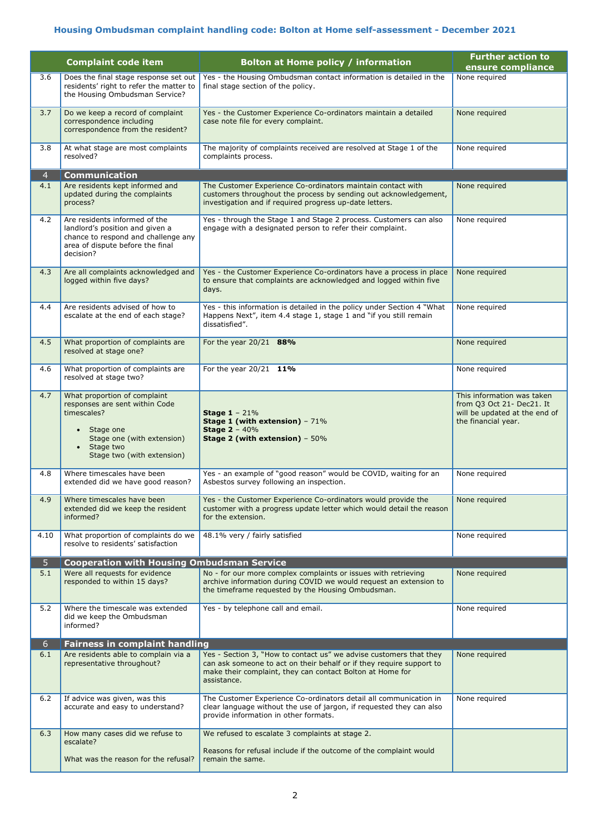## **Housing Ombudsman complaint handling code: Bolton at Home self-assessment - December 2021**

2

|                | <b>Complaint code item</b>                                                                                                                                                       | Bolton at Home policy / information                                                                                                                                                                                    | <b>Further action to</b><br>ensure compliance                                                                   |
|----------------|----------------------------------------------------------------------------------------------------------------------------------------------------------------------------------|------------------------------------------------------------------------------------------------------------------------------------------------------------------------------------------------------------------------|-----------------------------------------------------------------------------------------------------------------|
| 3.6            | Does the final stage response set out<br>residents' right to refer the matter to<br>the Housing Ombudsman Service?                                                               | Yes - the Housing Ombudsman contact information is detailed in the<br>final stage section of the policy.                                                                                                               | None required                                                                                                   |
| 3.7            | Do we keep a record of complaint<br>correspondence including<br>correspondence from the resident?                                                                                | Yes - the Customer Experience Co-ordinators maintain a detailed<br>case note file for every complaint.                                                                                                                 | None required                                                                                                   |
| 3.8            | At what stage are most complaints<br>resolved?                                                                                                                                   | The majority of complaints received are resolved at Stage 1 of the<br>complaints process.                                                                                                                              | None required                                                                                                   |
| $\overline{4}$ | <b>Communication</b>                                                                                                                                                             |                                                                                                                                                                                                                        |                                                                                                                 |
| 4.1            | Are residents kept informed and<br>updated during the complaints<br>process?                                                                                                     | The Customer Experience Co-ordinators maintain contact with<br>customers throughout the process by sending out acknowledgement,<br>investigation and if required progress up-date letters.                             | None required                                                                                                   |
| 4.2            | Are residents informed of the<br>landlord's position and given a<br>chance to respond and challenge any<br>area of dispute before the final<br>decision?                         | Yes - through the Stage 1 and Stage 2 process. Customers can also<br>engage with a designated person to refer their complaint.                                                                                         | None required                                                                                                   |
| 4.3            | Are all complaints acknowledged and<br>logged within five days?                                                                                                                  | Yes - the Customer Experience Co-ordinators have a process in place<br>to ensure that complaints are acknowledged and logged within five<br>days.                                                                      | None required                                                                                                   |
| 4.4            | Are residents advised of how to<br>escalate at the end of each stage?                                                                                                            | Yes - this information is detailed in the policy under Section 4 "What<br>Happens Next", item 4.4 stage 1, stage 1 and "if you still remain<br>dissatisfied".                                                          | None required                                                                                                   |
| 4.5            | What proportion of complaints are<br>resolved at stage one?                                                                                                                      | For the year 20/21 88%                                                                                                                                                                                                 | None required                                                                                                   |
| 4.6            | What proportion of complaints are<br>resolved at stage two?                                                                                                                      | For the year $20/21$ 11%                                                                                                                                                                                               | None required                                                                                                   |
| 4.7            | What proportion of complaint<br>responses are sent within Code<br>timescales?<br>Stage one<br>Stage one (with extension)<br>Stage two<br>$\bullet$<br>Stage two (with extension) | <b>Stage 1</b> – $21\%$<br>Stage 1 (with extension) $-71\%$<br><b>Stage 2 - 40%</b><br>Stage 2 (with extension) $-50\%$                                                                                                | This information was taken<br>from Q3 Oct 21- Dec21. It<br>will be updated at the end of<br>the financial year. |
| 4.8            | Where timescales have been<br>extended did we have good reason?                                                                                                                  | Yes - an example of "good reason" would be COVID, waiting for an<br>Asbestos survey following an inspection.                                                                                                           | None required                                                                                                   |
| 4.9            | Where timescales have been<br>extended did we keep the resident<br>informed?                                                                                                     | Yes - the Customer Experience Co-ordinators would provide the<br>customer with a progress update letter which would detail the reason<br>for the extension.                                                            | None required                                                                                                   |
| 4.10           | What proportion of complaints do we<br>resolve to residents' satisfaction                                                                                                        | 48.1% very / fairly satisfied                                                                                                                                                                                          | None required                                                                                                   |
| 5              | <b>Cooperation with Housing Ombudsman Service</b>                                                                                                                                |                                                                                                                                                                                                                        |                                                                                                                 |
| 5.1            | Were all requests for evidence<br>responded to within 15 days?                                                                                                                   | No - for our more complex complaints or issues with retrieving<br>archive information during COVID we would request an extension to<br>the timeframe requested by the Housing Ombudsman.                               | None required                                                                                                   |
| 5.2            | Where the timescale was extended<br>did we keep the Ombudsman<br>informed?                                                                                                       | Yes - by telephone call and email.                                                                                                                                                                                     | None required                                                                                                   |
| 6.             | <b>Fairness in complaint handling</b>                                                                                                                                            |                                                                                                                                                                                                                        |                                                                                                                 |
| 6.1            | Are residents able to complain via a<br>representative throughout?                                                                                                               | Yes - Section 3, "How to contact us" we advise customers that they<br>can ask someone to act on their behalf or if they require support to<br>make their complaint, they can contact Bolton at Home for<br>assistance. | None required                                                                                                   |
| 6.2            | If advice was given, was this<br>accurate and easy to understand?                                                                                                                | The Customer Experience Co-ordinators detail all communication in<br>clear language without the use of jargon, if requested they can also<br>provide information in other formats.                                     | None required                                                                                                   |
| 6.3            | How many cases did we refuse to                                                                                                                                                  | We refused to escalate 3 complaints at stage 2.                                                                                                                                                                        |                                                                                                                 |
|                | escalate?<br>What was the reason for the refusal?                                                                                                                                | Reasons for refusal include if the outcome of the complaint would<br>remain the same.                                                                                                                                  |                                                                                                                 |